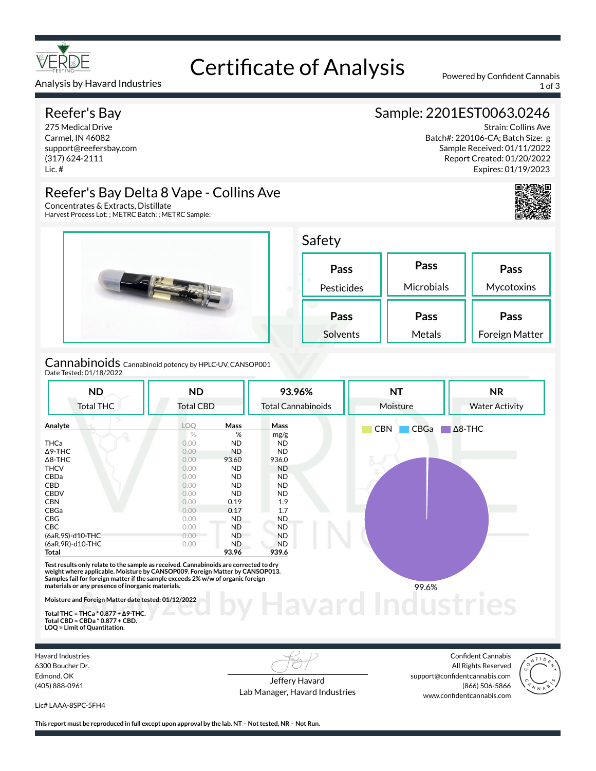

### Analysis by Havard Industries 1 of 3

# Certificate of Analysis Powered by Confident Cannabis

## Reefer's Bay

275 Medical Drive Carmel, IN 46082 support@reefersbay.com (317) 624-2111 Lic. #

## Sample: 2201EST0063.0246

Strain: Collins Ave Batch#: 220106-CA; Batch Size: g Sample Received: 01/11/2022 Report Created: 01/20/2022 Expires: 01/19/2023





Concentrates & Extracts, Distillate Harvest Process Lot: ; METRC Batch: ; METRC Sample:



Cannabinoids Cannabinoid potency by HPLC-UV, CANSOP001 Date Tested: 01/18/2022

| <b>ND</b>         | <b>ND</b>        |                | 93.96%                    | <b>NT</b>          | <b>NR</b>             |
|-------------------|------------------|----------------|---------------------------|--------------------|-----------------------|
| <b>Total THC</b>  | <b>Total CBD</b> |                | <b>Total Cannabinoids</b> | Moisture           | <b>Water Activity</b> |
| Analyte           | <b>LOO</b>       | Mass           | Mass                      | <b>CBN</b><br>CBGa | $\Delta$ 8-THC        |
|                   | %                | %              | mg/g                      |                    |                       |
| <b>THCa</b>       | 0.00             | <b>ND</b>      | <b>ND</b>                 |                    |                       |
| $\Delta$ 9-THC    | 0.00             | <b>ND</b>      | ND                        |                    |                       |
| $\Delta$ 8-THC    | 0.00             | 93.60          | 936.0                     |                    |                       |
| <b>THCV</b>       | 0.00             | <b>ND</b>      | <b>ND</b>                 |                    |                       |
| CBDa              | 0.00             | <b>ND</b>      | <b>ND</b>                 |                    |                       |
| <b>CBD</b>        | 0.00             | <b>ND</b>      | <b>ND</b>                 |                    |                       |
| <b>CBDV</b>       | 0.00             | <b>ND</b>      | ND                        |                    |                       |
| <b>CBN</b>        | 0.00             | 0.19           | 1.9                       |                    |                       |
| CBGa              | 0.00             | 0.17           | 1.7                       |                    |                       |
| CBG               | 0.00             | ND.            | ND.                       |                    |                       |
| <b>CBC</b>        | 0.00             | <b>ND</b>      | <b>ND</b>                 |                    |                       |
| (6aR,9S)-d10-THC  | 0.00             | N <sub>D</sub> | <b>ND</b>                 |                    |                       |
| (6aR, 9R)-d10-THC | 0.00             | ND.            | <b>ND</b>                 |                    |                       |
| Total             |                  | 93.96          | 939.6                     |                    |                       |

**Total THC = THCa \* 0.877 + ∆9-THC. Total CBD = CBDa \* 0.877 + CBD. LOQ = Limit of Quantitation.**

Havard Industries 6300 Boucher Dr. Edmond, OK (405) 888-0961

Jeffery Havard Lab Manager, Havard Industries

Confident Cannabis All Rights Reserved support@confidentcannabis.com (866) 506-5866 www.confidentcannabis.com



Lic# LAAA-8SPC-5FH4

**This report must be reproduced in full except upon approval by the lab. NT – Not tested, NR – Not Run.**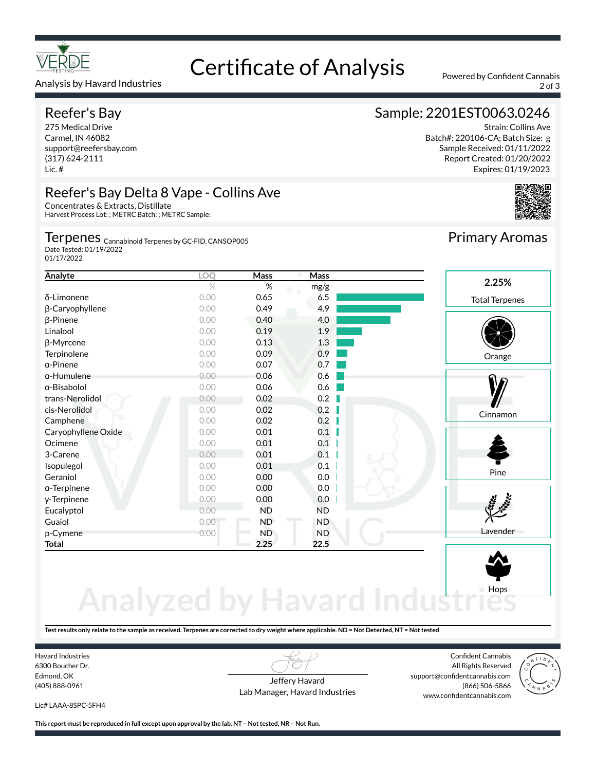

### Analysis by Havard Industries 2007 30 and 2007 30 and 2007 30 and 2007 30 and 2007 30 and 2007 30 and 2007 30 and 2007 30 and 2007 30 and 2007 30 and 2007 30 and 2007 30 and 2007 30 and 2007 30 and 2007 30 and 2007 30 and

## Reefer's Bay

275 Medical Drive Carmel, IN 46082 support@reefersbay.com (317) 624-2111 Lic. #

## Reefer's Bay Delta 8 Vape - Collins Ave

**Analyte LOQ Mass Mass**

Ɓ-Limonene 0.00 0.65 6.5  $β$ -Caryophyllene 0.00 0.49 4.9  $β$ -Pinene 0.00 0.40 4.0 Linalool **1.9** 0.00 0.19 1.9 **β-Myrcene** 0.00 **0.13 1.3 Terpinolene** 0.00 0.09 0.9

Harvest Process Lot: ; METRC Batch: ; METRC Sample:

## Concentrates & Extracts, Distillate

Terpenes <sub>Cannabinoid Terpenes by GC-FID, CANSOP005</sub> Date Tested: 01/19/2022 01/17/2022

#### ž-Pinene 0.00 0.07 0.7  $α$ -Humulene 0.00 0.06 0.6 ž-Bisabolol 0.00 0.06 0.6 trans-Nerolidol 0.00 0.02 0.2 cis-Nerolidol 0.00 0.02 0.2 **Camphene** 0.00 0.02 0.2 ш Caryophyllene Oxide 0.00 0.01 0.1 Ocimene 0.00 0.01 0.1 3-Carene 0.00 0.01 0.1 **Isopulegol 0.00 0.01 0.1** Pine Geraniol 0.00 0.00 0.00 0.00 α-Terpinene 0.00 0.00 0.00 0.00 v-Terpinene 0.00 0.00 0.00 Eucalyptol 0.00 ND ND Guaiol 0.00 ND ND p-Cymene 0.00 ND ND **Total 2.25 22.5**

%  $\%$  mg/g

# **Analyzed by Havard Ind**

**Test results only relate to the sample as received. Terpenes are corrected to dry weight where applicable. ND = Not Detected, NT = Not tested**

Havard Industries 6300 Boucher Dr. Edmond, OK (405) 888-0961

Jeffery Havard Lab Manager, Havard Industries

Confident Cannabis All Rights Reserved support@confidentcannabis.com (866) 506-5866 www.confidentcannabis.com



Lic# LAAA-8SPC-5FH4

**This report must be reproduced in full except upon approval by the lab. NT – Not tested, NR – Not Run.**

Certificate of Analysis Powered by Confident Cannabis

## Sample: 2201EST0063.0246

Strain: Collins Ave Batch#: 220106-CA; Batch Size: g Sample Received: 01/11/2022 Report Created: 01/20/2022 Expires: 01/19/2023



**Orange** Cinnamon







**2.25%**

Primary Aromas